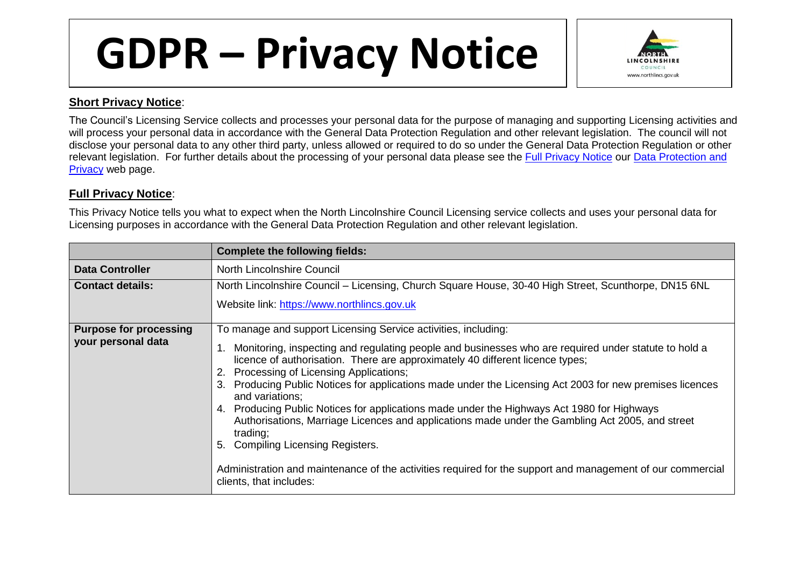## **GDPR – Privacy Notice**



## **Short Privacy Notice**:

The Council's Licensing Service collects and processes your personal data for the purpose of managing and supporting Licensing activities and will process your personal data in accordance with the General Data Protection Regulation and other relevant legislation. The council will not disclose your personal data to any other third party, unless allowed or required to do so under the General Data Protection Regulation or other relevant legislation. For further details about the processing of your personal data please see the [Full Privacy Notice](https://www.northlincs.gov.uk/site/privacy/) our [Data Protection and](https://www.northlincs.gov.uk/your-council/about-your-council/information-and-performance/information-governance/data-protection-and-privacy/)  [Privacy](https://www.northlincs.gov.uk/your-council/about-your-council/information-and-performance/information-governance/data-protection-and-privacy/) web page.

## **Full Privacy Notice**:

This Privacy Notice tells you what to expect when the North Lincolnshire Council Licensing service collects and uses your personal data for Licensing purposes in accordance with the General Data Protection Regulation and other relevant legislation.

|                               | <b>Complete the following fields:</b>                                                                                                                                                                                                                                                                                                                                                                                                                                                                                                                                                                                                                                                                                                                           |
|-------------------------------|-----------------------------------------------------------------------------------------------------------------------------------------------------------------------------------------------------------------------------------------------------------------------------------------------------------------------------------------------------------------------------------------------------------------------------------------------------------------------------------------------------------------------------------------------------------------------------------------------------------------------------------------------------------------------------------------------------------------------------------------------------------------|
| <b>Data Controller</b>        | North Lincolnshire Council                                                                                                                                                                                                                                                                                                                                                                                                                                                                                                                                                                                                                                                                                                                                      |
| <b>Contact details:</b>       | North Lincolnshire Council – Licensing, Church Square House, 30-40 High Street, Scunthorpe, DN15 6NL                                                                                                                                                                                                                                                                                                                                                                                                                                                                                                                                                                                                                                                            |
|                               | Website link: https://www.northlincs.gov.uk                                                                                                                                                                                                                                                                                                                                                                                                                                                                                                                                                                                                                                                                                                                     |
| <b>Purpose for processing</b> | To manage and support Licensing Service activities, including:                                                                                                                                                                                                                                                                                                                                                                                                                                                                                                                                                                                                                                                                                                  |
| your personal data            | Monitoring, inspecting and regulating people and businesses who are required under statute to hold a<br>licence of authorisation. There are approximately 40 different licence types;<br>2. Processing of Licensing Applications;<br>Producing Public Notices for applications made under the Licensing Act 2003 for new premises licences<br>and variations;<br>Producing Public Notices for applications made under the Highways Act 1980 for Highways<br>4.<br>Authorisations, Marriage Licences and applications made under the Gambling Act 2005, and street<br>trading;<br><b>Compiling Licensing Registers.</b><br>Administration and maintenance of the activities required for the support and management of our commercial<br>clients, that includes: |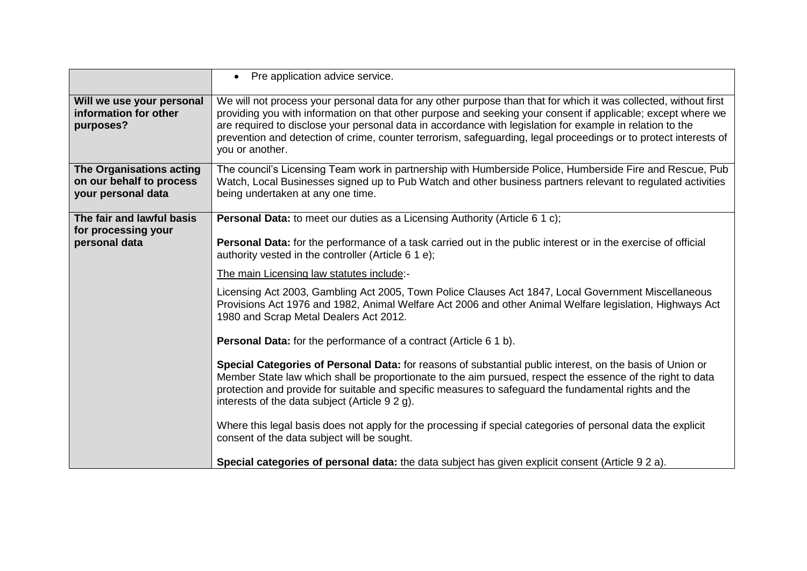|                                                                            | • Pre application advice service.                                                                                                                                                                                                                                                                                                                                                                                                                                                    |
|----------------------------------------------------------------------------|--------------------------------------------------------------------------------------------------------------------------------------------------------------------------------------------------------------------------------------------------------------------------------------------------------------------------------------------------------------------------------------------------------------------------------------------------------------------------------------|
| Will we use your personal<br>information for other<br>purposes?            | We will not process your personal data for any other purpose than that for which it was collected, without first<br>providing you with information on that other purpose and seeking your consent if applicable; except where we<br>are required to disclose your personal data in accordance with legislation for example in relation to the<br>prevention and detection of crime, counter terrorism, safeguarding, legal proceedings or to protect interests of<br>you or another. |
| The Organisations acting<br>on our behalf to process<br>your personal data | The council's Licensing Team work in partnership with Humberside Police, Humberside Fire and Rescue, Pub<br>Watch, Local Businesses signed up to Pub Watch and other business partners relevant to regulated activities<br>being undertaken at any one time.                                                                                                                                                                                                                         |
| The fair and lawful basis<br>for processing your                           | Personal Data: to meet our duties as a Licensing Authority (Article 6 1 c);                                                                                                                                                                                                                                                                                                                                                                                                          |
| personal data                                                              | Personal Data: for the performance of a task carried out in the public interest or in the exercise of official<br>authority vested in the controller (Article 6 1 e);                                                                                                                                                                                                                                                                                                                |
|                                                                            | The main Licensing law statutes include:-                                                                                                                                                                                                                                                                                                                                                                                                                                            |
|                                                                            | Licensing Act 2003, Gambling Act 2005, Town Police Clauses Act 1847, Local Government Miscellaneous<br>Provisions Act 1976 and 1982, Animal Welfare Act 2006 and other Animal Welfare legislation, Highways Act<br>1980 and Scrap Metal Dealers Act 2012.                                                                                                                                                                                                                            |
|                                                                            | Personal Data: for the performance of a contract (Article 6 1 b).                                                                                                                                                                                                                                                                                                                                                                                                                    |
|                                                                            | Special Categories of Personal Data: for reasons of substantial public interest, on the basis of Union or<br>Member State law which shall be proportionate to the aim pursued, respect the essence of the right to data<br>protection and provide for suitable and specific measures to safeguard the fundamental rights and the<br>interests of the data subject (Article 9 2 g).                                                                                                   |
|                                                                            | Where this legal basis does not apply for the processing if special categories of personal data the explicit<br>consent of the data subject will be sought.                                                                                                                                                                                                                                                                                                                          |
|                                                                            | Special categories of personal data: the data subject has given explicit consent (Article 9 2 a).                                                                                                                                                                                                                                                                                                                                                                                    |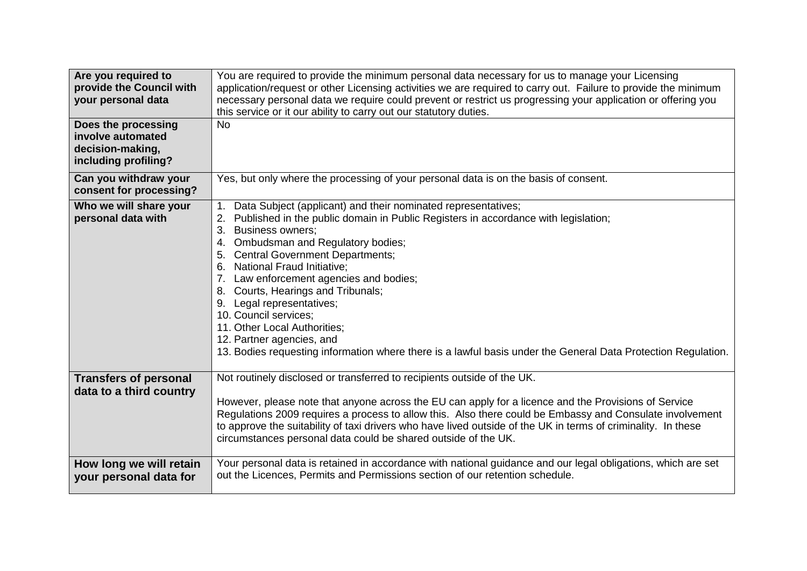| Are you required to<br>provide the Council with<br>your personal data<br>Does the processing<br>involve automated<br>decision-making,<br>including profiling? | You are required to provide the minimum personal data necessary for us to manage your Licensing<br>application/request or other Licensing activities we are required to carry out. Failure to provide the minimum<br>necessary personal data we require could prevent or restrict us progressing your application or offering you<br>this service or it our ability to carry out our statutory duties.<br><b>No</b>                                                                                                                                                                                                           |
|---------------------------------------------------------------------------------------------------------------------------------------------------------------|-------------------------------------------------------------------------------------------------------------------------------------------------------------------------------------------------------------------------------------------------------------------------------------------------------------------------------------------------------------------------------------------------------------------------------------------------------------------------------------------------------------------------------------------------------------------------------------------------------------------------------|
| Can you withdraw your<br>consent for processing?                                                                                                              | Yes, but only where the processing of your personal data is on the basis of consent.                                                                                                                                                                                                                                                                                                                                                                                                                                                                                                                                          |
| Who we will share your<br>personal data with                                                                                                                  | Data Subject (applicant) and their nominated representatives;<br>1.<br>Published in the public domain in Public Registers in accordance with legislation;<br><b>Business owners;</b><br>3.<br>4. Ombudsman and Regulatory bodies;<br>5. Central Government Departments;<br>6. National Fraud Initiative;<br>7. Law enforcement agencies and bodies;<br>8. Courts, Hearings and Tribunals;<br>9. Legal representatives;<br>10. Council services;<br>11. Other Local Authorities;<br>12. Partner agencies, and<br>13. Bodies requesting information where there is a lawful basis under the General Data Protection Regulation. |
| <b>Transfers of personal</b><br>data to a third country                                                                                                       | Not routinely disclosed or transferred to recipients outside of the UK.<br>However, please note that anyone across the EU can apply for a licence and the Provisions of Service<br>Regulations 2009 requires a process to allow this. Also there could be Embassy and Consulate involvement<br>to approve the suitability of taxi drivers who have lived outside of the UK in terms of criminality. In these<br>circumstances personal data could be shared outside of the UK.                                                                                                                                                |
| How long we will retain<br>your personal data for                                                                                                             | Your personal data is retained in accordance with national guidance and our legal obligations, which are set<br>out the Licences, Permits and Permissions section of our retention schedule.                                                                                                                                                                                                                                                                                                                                                                                                                                  |